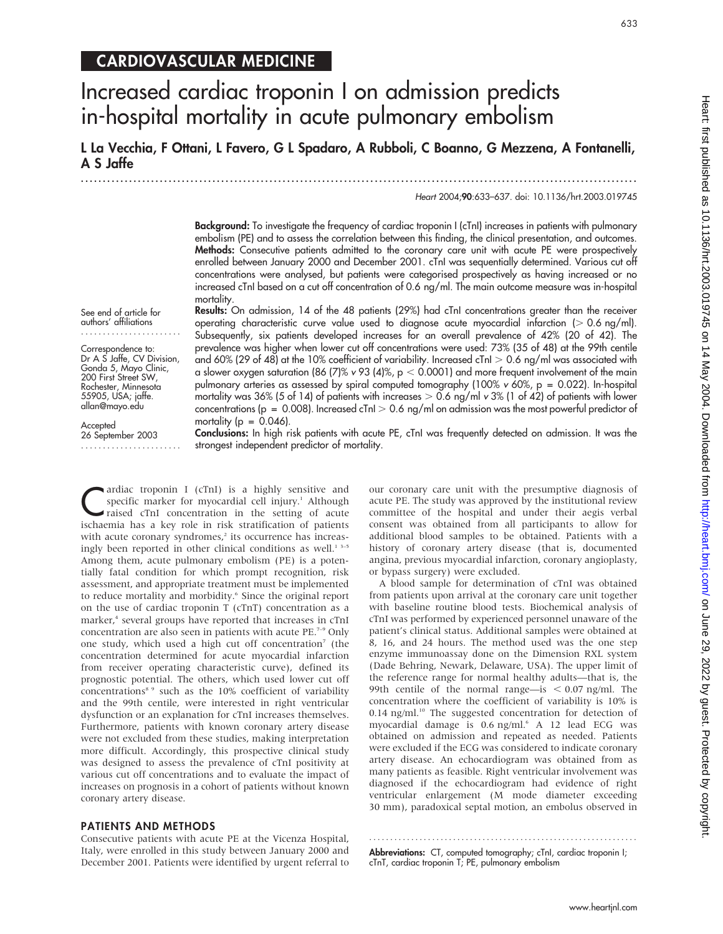## CARDIOVASCULAR MEDICINE

# Increased cardiac troponin I on admission predicts in-hospital mortality in acute pulmonary embolism

L La Vecchia, F Ottani, L Favero, G L Spadaro, A Rubboli, C Boanno, G Mezzena, A Fontanelli, A S Jaffe

...............................................................................................................................

Heart 2004;90:633–637. doi: 10.1136/hrt.2003.019745

Background: To investigate the frequency of cardiac troponin I (cTnI) increases in patients with pulmonary embolism (PE) and to assess the correlation between this finding, the clinical presentation, and outcomes. Methods: Consecutive patients admitted to the coronary care unit with acute PE were prospectively enrolled between January 2000 and December 2001. cTnI was sequentially determined. Various cut off concentrations were analysed, but patients were categorised prospectively as having increased or no increased cTnI based on a cut off concentration of 0.6 ng/ml. The main outcome measure was in-hospital mortality. Results: On admission, 14 of the 48 patients (29%) had cTnI concentrations greater than the receiver

operating characteristic curve value used to diagnose acute myocardial infarction ( $> 0.6$  ng/ml). Subsequently, six patients developed increases for an overall prevalence of 42% (20 of 42). The prevalence was higher when lower cut off concentrations were used: 73% (35 of 48) at the 99th centile and 60% (29 of 48) at the 10% coefficient of variability. Increased cTnI  $> 0.6$  ng/ml was associated with a slower oxygen saturation (86 (7)% v 93 (4)%,  $p < 0.0001$ ) and more frequent involvement of the main pulmonary arteries as assessed by spiral computed tomography (100% v 60%,  $p = 0.022$ ). In-hospital mortality was 36% (5 of 14) of patients with increases  $> 0.6$  ng/ml v 3% (1 of 42) of patients with lower

See end of article for authors' affiliations .......................

Correspondence to: Dr A S Jaffe, CV Division, Gonda 5, Mayo Clinic, 200 First Street SW, Rochester, Minnesota 55905, USA; jaffe. allan@mayo.edu

**Accepted** 26 September 2003 ....................... concentrations (p = 0.008). Increased cTnI > 0.6 ng/ml on admission was the most powerful predictor of mortality ( $p = 0.046$ ). Conclusions: In high risk patients with acute PE, cTnI was frequently detected on admission. It was the strongest independent predictor of mortality.

**C**ardiac troponin I (cTnI) is a highly sensitive and specific marker for myocardial cell injury.<sup>1</sup> Although raised cTnI concentration in the setting of acute specific marker for myocardial cell injury.<sup>1</sup> Although ischaemia has a key role in risk stratification of patients with acute coronary syndromes,<sup>2</sup> its occurrence has increasingly been reported in other clinical conditions as well.<sup>1 3-5</sup> Among them, acute pulmonary embolism (PE) is a potentially fatal condition for which prompt recognition, risk assessment, and appropriate treatment must be implemented to reduce mortality and morbidity.<sup>6</sup> Since the original report on the use of cardiac troponin T (cTnT) concentration as a marker,<sup>4</sup> several groups have reported that increases in cTnI concentration are also seen in patients with acute PE.7–9 Only one study, which used a high cut off concentration<sup>7</sup> (the concentration determined for acute myocardial infarction from receiver operating characteristic curve), defined its prognostic potential. The others, which used lower cut off concentrations8 9 such as the 10% coefficient of variability and the 99th centile, were interested in right ventricular dysfunction or an explanation for cTnI increases themselves. Furthermore, patients with known coronary artery disease were not excluded from these studies, making interpretation more difficult. Accordingly, this prospective clinical study was designed to assess the prevalence of cTnI positivity at various cut off concentrations and to evaluate the impact of increases on prognosis in a cohort of patients without known coronary artery disease.

#### PATIENTS AND METHODS

Consecutive patients with acute PE at the Vicenza Hospital, Italy, were enrolled in this study between January 2000 and December 2001. Patients were identified by urgent referral to our coronary care unit with the presumptive diagnosis of acute PE. The study was approved by the institutional review committee of the hospital and under their aegis verbal consent was obtained from all participants to allow for additional blood samples to be obtained. Patients with a history of coronary artery disease (that is, documented angina, previous myocardial infarction, coronary angioplasty, or bypass surgery) were excluded.

A blood sample for determination of cTnI was obtained from patients upon arrival at the coronary care unit together with baseline routine blood tests. Biochemical analysis of cTnI was performed by experienced personnel unaware of the patient's clinical status. Additional samples were obtained at 8, 16, and 24 hours. The method used was the one step enzyme immunoassay done on the Dimension RXL system (Dade Behring, Newark, Delaware, USA). The upper limit of the reference range for normal healthy adults—that is, the 99th centile of the normal range—is  $< 0.07$  ng/ml. The concentration where the coefficient of variability is 10% is 0.14 ng/ml.<sup>10</sup> The suggested concentration for detection of myocardial damage is 0.6 ng/ml.<sup>6</sup> A 12 lead ECG was obtained on admission and repeated as needed. Patients were excluded if the ECG was considered to indicate coronary artery disease. An echocardiogram was obtained from as many patients as feasible. Right ventricular involvement was diagnosed if the echocardiogram had evidence of right ventricular enlargement (M mode diameter exceeding 30 mm), paradoxical septal motion, an embolus observed in

................................................................ Abbreviations: CT, computed tomography; cTnI, cardiac troponin I; cTnT, cardiac troponin T; PE, pulmonary embolism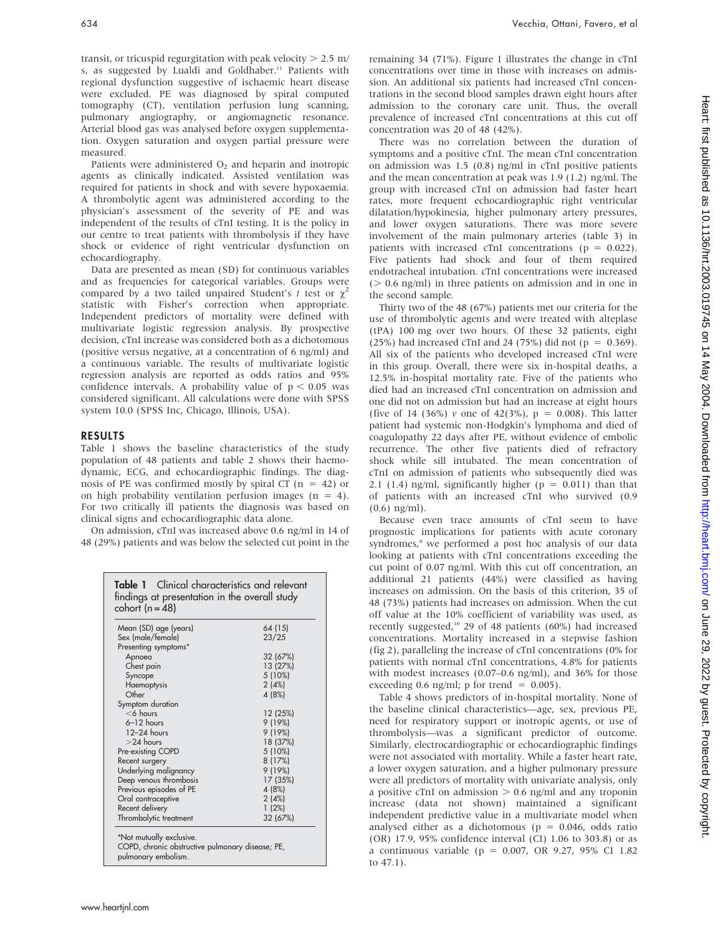transit, or tricuspid regurgitation with peak velocity  $> 2.5$  m/ s, as suggested by Lualdi and Goldhaber.<sup>11</sup> Patients with regional dysfunction suggestive of ischaemic heart disease were excluded. PE was diagnosed by spiral computed tomography (CT), ventilation perfusion lung scanning, pulmonary angiography, or angiomagnetic resonance. Arterial blood gas was analysed before oxygen supplementation. Oxygen saturation and oxygen partial pressure were measured.

Patients were administered  $O<sub>2</sub>$  and heparin and inotropic agents as clinically indicated. Assisted ventilation was required for patients in shock and with severe hypoxaemia. A thrombolytic agent was administered according to the physician's assessment of the severity of PE and was independent of the results of cTnI testing. It is the policy in our centre to treat patients with thrombolysis if they have shock or evidence of right ventricular dysfunction on echocardiography.

Data are presented as mean (SD) for continuous variables and as frequencies for categorical variables. Groups were compared by a two tailed unpaired Student's t test or  $\chi^2$ statistic with Fisher's correction when appropriate. Independent predictors of mortality were defined with multivariate logistic regression analysis. By prospective decision, cTnI increase was considered both as a dichotomous (positive versus negative, at a concentration of 6 ng/ml) and a continuous variable. The results of multivariate logistic regression analysis are reported as odds ratios and 95% confidence intervals. A probability value of  $p < 0.05$  was considered significant. All calculations were done with SPSS system 10.0 (SPSS Inc, Chicago, Illinois, USA).

#### RESULTS

Table 1 shows the baseline characteristics of the study population of 48 patients and table 2 shows their haemodynamic, ECG, and echocardiographic findings. The diagnosis of PE was confirmed mostly by spiral CT  $(n = 42)$  or on high probability ventilation perfusion images ( $n = 4$ ). For two critically ill patients the diagnosis was based on clinical signs and echocardiographic data alone.

On admission, cTnI was increased above 0.6 ng/ml in 14 of 48 (29%) patients and was below the selected cut point in the

| <b>Table 1</b> Clinical characteristics and relevant<br>findings at presentation in the overall study<br>cohort ( $n = 48$ ) |          |
|------------------------------------------------------------------------------------------------------------------------------|----------|
| Mean (SD) age (years)                                                                                                        | 64 (15)  |
| Sex (male/female)                                                                                                            | 23/25    |
| Presenting symptoms*                                                                                                         |          |
| Apnoea                                                                                                                       | 32 (67%) |
| Chest pain                                                                                                                   | 13 (27%) |
| Syncope                                                                                                                      | 5 (10%)  |
| Haemoptysis                                                                                                                  | 2(4%)    |
| Other                                                                                                                        | 4 (8%)   |
| Symptom duration                                                                                                             |          |
| $<$ 6 hours                                                                                                                  | 12 (25%) |
| $6-12$ hours                                                                                                                 | 9 (19%)  |
| $12-24$ hours                                                                                                                | 9 (19%)  |
| $>$ 24 hours                                                                                                                 | 18 (37%) |
| Pre-existing COPD                                                                                                            | 5 (10%)  |
| Recent surgery                                                                                                               | 8 (17%)  |
| Underlying malignancy                                                                                                        | 9 (19%)  |
| Deep venous thrombosis                                                                                                       | 17 (35%) |
| Previous episodes of PE                                                                                                      | 4 (8%)   |
| Oral contraceptive                                                                                                           | 2(4%)    |
| Recent delivery                                                                                                              | 1(2%)    |
| Thrombolytic treatment                                                                                                       | 32 (67%) |
| *Not mutually exclusive.<br>COPD, chronic obstructive pulmonary disease; PE,<br>pulmonary embolism.                          |          |

remaining 34 (71%). Figure 1 illustrates the change in cTnI concentrations over time in those with increases on admission. An additional six patients had increased cTnI concentrations in the second blood samples drawn eight hours after admission to the coronary care unit. Thus, the overall prevalence of increased cTnI concentrations at this cut off concentration was 20 of 48 (42%).

There was no correlation between the duration of symptoms and a positive cTnI. The mean cTnI concentration on admission was 1.5 (0.8) ng/ml in cTnI positive patients and the mean concentration at peak was 1.9 (1.2) ng/ml. The group with increased cTnI on admission had faster heart rates, more frequent echocardiographic right ventricular dilatation/hypokinesia, higher pulmonary artery pressures, and lower oxygen saturations. There was more severe involvement of the main pulmonary arteries (table 3) in patients with increased cTnI concentrations ( $p = 0.022$ ). Five patients had shock and four of them required endotracheal intubation. cTnI concentrations were increased  $(0.6 \text{ ng/ml})$  in three patients on admission and in one in the second sample.

Thirty two of the 48 (67%) patients met our criteria for the use of thrombolytic agents and were treated with alteplase (tPA) 100 mg over two hours. Of these 32 patients, eight (25%) had increased cTnI and 24 (75%) did not ( $p = 0.369$ ). All six of the patients who developed increased cTnI were in this group. Overall, there were six in-hospital deaths, a 12.5% in-hospital mortality rate. Five of the patients who died had an increased cTnI concentration on admission and one did not on admission but had an increase at eight hours (five of 14 (36%)  $\nu$  one of 42(3%),  $p = 0.008$ ). This latter patient had systemic non-Hodgkin's lymphoma and died of coagulopathy 22 days after PE, without evidence of embolic recurrence. The other five patients died of refractory shock while sill intubated. The mean concentration of cTnI on admission of patients who subsequently died was 2.1 (1.4) ng/ml, significantly higher ( $p = 0.011$ ) than that of patients with an increased cTnI who survived (0.9 (0.6) ng/ml).

Because even trace amounts of cTnI seem to have prognostic implications for patients with acute coronary syndromes,<sup>8</sup> we performed a post hoc analysis of our data looking at patients with cTnI concentrations exceeding the cut point of 0.07 ng/ml. With this cut off concentration, an additional 21 patients (44%) were classified as having increases on admission. On the basis of this criterion, 35 of 48 (73%) patients had increases on admission. When the cut off value at the 10% coefficient of variability was used, as recently suggested,<sup>10</sup> 29 of 48 patients (60%) had increased concentrations. Mortality increased in a stepwise fashion (fig 2), paralleling the increase of cTnI concentrations (0% for patients with normal cTnI concentrations, 4.8% for patients with modest increases (0.07–0.6 ng/ml), and 36% for those exceeding 0.6 ng/ml; p for trend  $= 0.005$ ).

Table 4 shows predictors of in-hospital mortality. None of the baseline clinical characteristics—age, sex, previous PE, need for respiratory support or inotropic agents, or use of thrombolysis—was a significant predictor of outcome. Similarly, electrocardiographic or echocardiographic findings were not associated with mortality. While a faster heart rate, a lower oxygen saturation, and a higher pulmonary pressure were all predictors of mortality with univariate analysis, only a positive cTnI on admission  $> 0.6$  ng/ml and any troponin increase (data not shown) maintained a significant independent predictive value in a multivariate model when analysed either as a dichotomous ( $p = 0.046$ , odds ratio (OR) 17.9, 95% confidence interval (CI) 1.06 to 303.8) or as a continuous variable (p = 0.007, OR 9.27, 95% CI 1.82 to 47.1).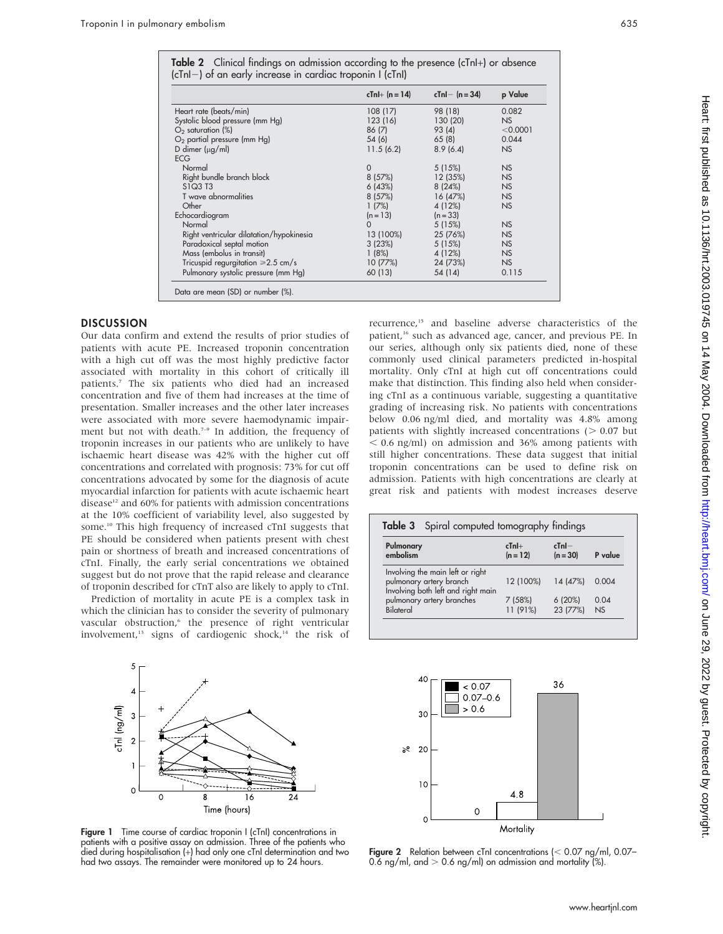Table 2 Clinical findings on admission according to the presence (cTnI+) or absence  $(cTnI-)$  of an early increase in cardiac troponin I (cTnI)

|                                          | $cTnH + (n = 14)$ | $cTnI - (n = 34)$ | p Value   |
|------------------------------------------|-------------------|-------------------|-----------|
| Heart rate (beats/min)                   | 108 (17)          | 98 (18)           | 0.082     |
| Systolic blood pressure (mm Hg)          | 123 (16)          | 130 (20)          | NS        |
| $O2$ saturation (%)                      | 86(7)             | 93 (4)            | < 0.0001  |
| $O2$ partial pressure (mm Hg)            | 54 (6)            | 65(8)             | 0.044     |
| D dimer $(\mu q/ml)$                     | 11.5(6.2)         | 8.9(6.4)          | NS        |
| <b>ECG</b>                               |                   |                   |           |
| Normal                                   | $\Omega$          | 5(15%)            | <b>NS</b> |
| Right bundle branch block                | 8(57%)            | 12 (35%)          | <b>NS</b> |
| S1Q3 T3                                  | 6(43%)            | 8(24%)            | <b>NS</b> |
| T wave abnormalities                     | 8(57%)            | 16(47%)           | <b>NS</b> |
| Other                                    | 1(7%)             | 4 (12%)           | <b>NS</b> |
| Echocardiogram                           | $(n = 13)$        | $(n = 33)$        |           |
| Normal                                   | 0                 | 5(15%)            | NS        |
| Right ventricular dilatation/hypokinesia | 13 (100%)         | 25 (76%)          | <b>NS</b> |
| Paradoxical septal motion                | 3(23%)            | 5(15%)            | <b>NS</b> |
| Mass (embolus in transit)                | 1(8%)             | 4 (12%)           | <b>NS</b> |
| Tricuspid regurgitation $\geq 2.5$ cm/s  | 10(77%)           | 24 (73%)          | NS        |
| Pulmonary systolic pressure (mm Hg)      | 60 (13)           | 54 (14)           | 0.115     |

#### **DISCUSSION**

Our data confirm and extend the results of prior studies of patients with acute PE. Increased troponin concentration with a high cut off was the most highly predictive factor associated with mortality in this cohort of critically ill patients.7 The six patients who died had an increased concentration and five of them had increases at the time of presentation. Smaller increases and the other later increases were associated with more severe haemodynamic impairment but not with death.<sup>7-9</sup> In addition, the frequency of troponin increases in our patients who are unlikely to have ischaemic heart disease was 42% with the higher cut off concentrations and correlated with prognosis: 73% for cut off concentrations advocated by some for the diagnosis of acute myocardial infarction for patients with acute ischaemic heart disease<sup>12</sup> and 60% for patients with admission concentrations at the 10% coefficient of variability level, also suggested by some.10 This high frequency of increased cTnI suggests that PE should be considered when patients present with chest pain or shortness of breath and increased concentrations of cTnI. Finally, the early serial concentrations we obtained suggest but do not prove that the rapid release and clearance of troponin described for cTnT also are likely to apply to cTnI.

Prediction of mortality in acute PE is a complex task in which the clinician has to consider the severity of pulmonary vascular obstruction,<sup>6</sup> the presence of right ventricular involvement,<sup>13</sup> signs of cardiogenic shock,<sup>14</sup> the risk of recurrence,<sup>15</sup> and baseline adverse characteristics of the patient,<sup>16</sup> such as advanced age, cancer, and previous PE. In our series, although only six patients died, none of these commonly used clinical parameters predicted in-hospital mortality. Only cTnI at high cut off concentrations could make that distinction. This finding also held when considering cTnI as a continuous variable, suggesting a quantitative grading of increasing risk. No patients with concentrations below 0.06 ng/ml died, and mortality was 4.8% among patients with slightly increased concentrations  $($  > 0.07 but  $<$  0.6 ng/ml) on admission and 36% among patients with still higher concentrations. These data suggest that initial troponin concentrations can be used to define risk on admission. Patients with high concentrations are clearly at great risk and patients with modest increases deserve

| <b>Table 3</b> Spiral computed tomography findings                                                |            |            |           |
|---------------------------------------------------------------------------------------------------|------------|------------|-----------|
| Pulmonary                                                                                         | $cTnH+$    | $cTnI-$    | P value   |
| embolism                                                                                          | $(n = 12)$ | $(n = 30)$ |           |
| Involving the main left or right<br>pulmonary artery branch<br>Involving both left and right main | 12 (100%)  | 14 (47%)   | 0.004     |
| pulmonary artery branches                                                                         | 7 (58%)    | 6(20%)     | 0.04      |
| Bilateral                                                                                         | 11 (91%)   | 23 (77%)   | <b>NS</b> |



Figure 1 Time course of cardiac troponin I (cTnI) concentrations in patients with a positive assay on admission. Three of the patients who died during hospitalisation (+) had only one cTnI determination and two had two assays. The remainder were monitored up to 24 hours.



Figure 2 Relation between cTnI concentrations  $(< 0.07$  ng/ml, 0.07-0.6 ng/ml, and  $>$  0.6 ng/ml) on admission and mortality (%).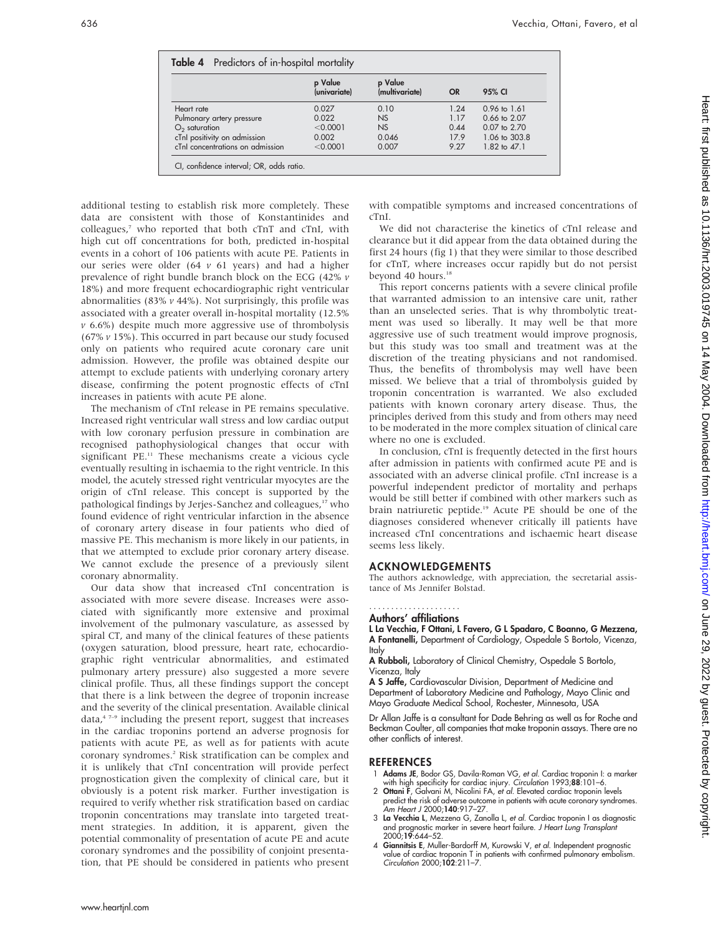|                                  | p Value<br>(univariate) | p Value<br>(multivariate) | <b>OR</b> | 95% CI                  |
|----------------------------------|-------------------------|---------------------------|-----------|-------------------------|
| Heart rate                       | 0.027                   | 0.10                      | 1.24      | $0.96 \text{ to } 1.61$ |
| Pulmonary artery pressure        | 0.022                   | NS                        | 1.17      | $0.66$ to $2.07$        |
| $O2$ saturation                  | < 0.0001                | NS                        | 0.44      | $0.07$ to $2.70$        |
| cTnl positivity on admission     | 0.002                   | 0.046                     | 17.9      | 1.06 to 303.8           |
| cTnl concentrations on admission | < 0.0001                | 0.007                     | 9.27      | 1.82 to 47.1            |

additional testing to establish risk more completely. These data are consistent with those of Konstantinides and colleagues,<sup>7</sup> who reported that both cTnT and cTnI, with high cut off concentrations for both, predicted in-hospital events in a cohort of 106 patients with acute PE. Patients in our series were older (64  $\nu$  61 years) and had a higher prevalence of right bundle branch block on the ECG (42% v 18%) and more frequent echocardiographic right ventricular abnormalities (83%  $\nu$  44%). Not surprisingly, this profile was associated with a greater overall in-hospital mortality (12.5%  $v$  6.6%) despite much more aggressive use of thrombolysis ( $67\%$   $\nu$  15%). This occurred in part because our study focused only on patients who required acute coronary care unit admission. However, the profile was obtained despite our attempt to exclude patients with underlying coronary artery disease, confirming the potent prognostic effects of cTnI increases in patients with acute PE alone.

The mechanism of cTnI release in PE remains speculative. Increased right ventricular wall stress and low cardiac output with low coronary perfusion pressure in combination are recognised pathophysiological changes that occur with significant PE.<sup>11</sup> These mechanisms create a vicious cycle eventually resulting in ischaemia to the right ventricle. In this model, the acutely stressed right ventricular myocytes are the origin of cTnI release. This concept is supported by the pathological findings by Jerjes-Sanchez and colleagues,<sup>17</sup> who found evidence of right ventricular infarction in the absence of coronary artery disease in four patients who died of massive PE. This mechanism is more likely in our patients, in that we attempted to exclude prior coronary artery disease. We cannot exclude the presence of a previously silent coronary abnormality.

Our data show that increased cTnI concentration is associated with more severe disease. Increases were associated with significantly more extensive and proximal involvement of the pulmonary vasculature, as assessed by spiral CT, and many of the clinical features of these patients (oxygen saturation, blood pressure, heart rate, echocardiographic right ventricular abnormalities, and estimated pulmonary artery pressure) also suggested a more severe clinical profile. Thus, all these findings support the concept that there is a link between the degree of troponin increase and the severity of the clinical presentation. Available clinical  $data<sub>1</sub><sup>47-9</sup>$  including the present report, suggest that increases in the cardiac troponins portend an adverse prognosis for patients with acute PE, as well as for patients with acute coronary syndromes.2 Risk stratification can be complex and it is unlikely that cTnI concentration will provide perfect prognostication given the complexity of clinical care, but it obviously is a potent risk marker. Further investigation is required to verify whether risk stratification based on cardiac troponin concentrations may translate into targeted treatment strategies. In addition, it is apparent, given the potential commonality of presentation of acute PE and acute coronary syndromes and the possibility of conjoint presentation, that PE should be considered in patients who present

with compatible symptoms and increased concentrations of cTnI.

We did not characterise the kinetics of cTnI release and clearance but it did appear from the data obtained during the first 24 hours (fig 1) that they were similar to those described for cTnT, where increases occur rapidly but do not persist beyond 40 hours. $18$ 

This report concerns patients with a severe clinical profile that warranted admission to an intensive care unit, rather than an unselected series. That is why thrombolytic treatment was used so liberally. It may well be that more aggressive use of such treatment would improve prognosis, but this study was too small and treatment was at the discretion of the treating physicians and not randomised. Thus, the benefits of thrombolysis may well have been missed. We believe that a trial of thrombolysis guided by troponin concentration is warranted. We also excluded patients with known coronary artery disease. Thus, the principles derived from this study and from others may need to be moderated in the more complex situation of clinical care where no one is excluded.

In conclusion, cTnI is frequently detected in the first hours after admission in patients with confirmed acute PE and is associated with an adverse clinical profile. cTnI increase is a powerful independent predictor of mortality and perhaps would be still better if combined with other markers such as brain natriuretic peptide.<sup>19</sup> Acute PE should be one of the diagnoses considered whenever critically ill patients have increased cTnI concentrations and ischaemic heart disease seems less likely.

#### ACKNOWLEDGEMENTS

The authors acknowledge, with appreciation, the secretarial assistance of Ms Jennifer Bolstad.

### .....................

Authors' affiliations

L La Vecchia, F Ottani, L Favero, G L Spadaro, C Boanno, G Mezzena, A Fontanelli, Department of Cardiology, Ospedale S Bortolo, Vicenza, Italy

A Rubboli, Laboratory of Clinical Chemistry, Ospedale S Bortolo, Vicenza, Italy

A S Jaffe, Cardiovascular Division, Department of Medicine and Department of Laboratory Medicine and Pathology, Mayo Clinic and Mayo Graduate Medical School, Rochester, Minnesota, USA

Dr Allan Jaffe is a consultant for Dade Behring as well as for Roche and Beckman Coulter, all companies that make troponin assays. There are no other conflicts of interest.

#### REFERENCES

- Adams JE, Bodor GS, Davila-Roman VG, et al. Cardiac troponin I: a marker with high specificity for cardiac injury. *Circulation* 1993;**88**:101–6.<br>2 **Ottani F**, Galvani M, Nicolini FA, *et al.* Elevated cardiac troponin levels
- predict the risk of adverse outcome in patients with acute coronary syndromes. Am Heart J 2000;140:917–27.
- 3 La Vecchia L, Mezzena G, Zanolla L, et al. Cardiac troponin I as diagnostic and prognostic marker in severe heart failure. J Heart Lung Transplant 2000;19:644–52.
- 4 Giannitsis E, Muller-Bardorff M, Kurowski V, et al. Independent prognostic value of cardiac troponin T in patients with confirmed pulmonary embolism. Circulation 2000;102:211–7.